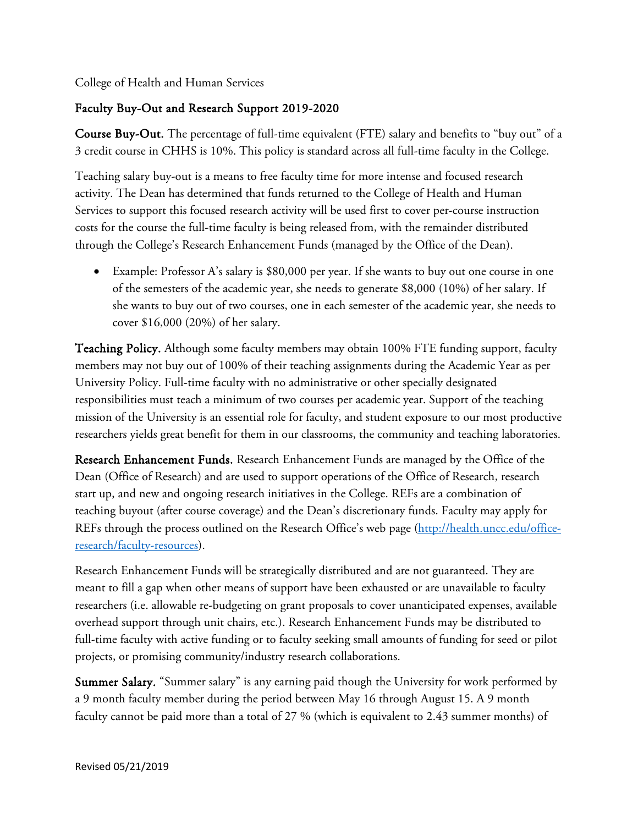College of Health and Human Services

## Faculty Buy-Out and Research Support 2019-2020

Course Buy-Out. The percentage of full-time equivalent (FTE) salary and benefits to "buy out" of a 3 credit course in CHHS is 10%. This policy is standard across all full-time faculty in the College.

Teaching salary buy-out is a means to free faculty time for more intense and focused research activity. The Dean has determined that funds returned to the College of Health and Human Services to support this focused research activity will be used first to cover per-course instruction costs for the course the full-time faculty is being released from, with the remainder distributed through the College's Research Enhancement Funds (managed by the Office of the Dean).

• Example: Professor A's salary is \$80,000 per year. If she wants to buy out one course in one of the semesters of the academic year, she needs to generate \$8,000 (10%) of her salary. If she wants to buy out of two courses, one in each semester of the academic year, she needs to cover \$16,000 (20%) of her salary.

Teaching Policy. Although some faculty members may obtain 100% FTE funding support, faculty members may not buy out of 100% of their teaching assignments during the Academic Year as per University Policy. Full-time faculty with no administrative or other specially designated responsibilities must teach a minimum of two courses per academic year. Support of the teaching mission of the University is an essential role for faculty, and student exposure to our most productive researchers yields great benefit for them in our classrooms, the community and teaching laboratories.

Research Enhancement Funds. Research Enhancement Funds are managed by the Office of the Dean (Office of Research) and are used to support operations of the Office of Research, research start up, and new and ongoing research initiatives in the College. REFs are a combination of teaching buyout (after course coverage) and the Dean's discretionary funds. Faculty may apply for REFs through the process outlined on the Research Office's web page [\(http://health.uncc.edu/office](http://health.uncc.edu/office-research/faculty-resources)[research/faculty-resources\)](http://health.uncc.edu/office-research/faculty-resources).

Research Enhancement Funds will be strategically distributed and are not guaranteed. They are meant to fill a gap when other means of support have been exhausted or are unavailable to faculty researchers (i.e. allowable re-budgeting on grant proposals to cover unanticipated expenses, available overhead support through unit chairs, etc.). Research Enhancement Funds may be distributed to full-time faculty with active funding or to faculty seeking small amounts of funding for seed or pilot projects, or promising community/industry research collaborations.

Summer Salary. "Summer salary" is any earning paid though the University for work performed by a 9 month faculty member during the period between May 16 through August 15. A 9 month faculty cannot be paid more than a total of 27 % (which is equivalent to 2.43 summer months) of